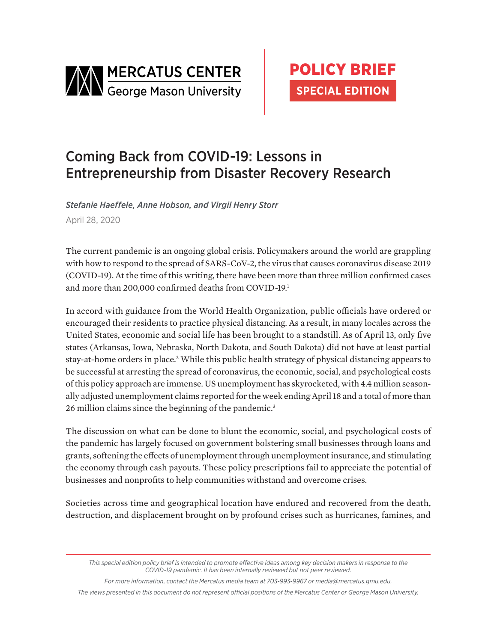

# Coming Back from COVID-19: Lessons in Entrepreneurship from Disaster Recovery Research

*Stefanie Haeffele, Anne Hobson, and Virgil Henry Storr* April 28, 2020

The current pandemic is an ongoing global crisis. Policymakers around the world are grappling with how to respond to the spread of SARS-CoV-2, the virus that causes coronavirus disease 2019 (COVID-19). At the time of this writing, there have been more than three million confirmed cases and more than 200,000 confirmed deaths from COVID-19.1

In accord with guidance from the World Health Organization, public officials have ordered or encouraged their residents to practice physical distancing. As a result, in many locales across the United States, economic and social life has been brought to a standstill. As of April 13, only five states (Arkansas, Iowa, Nebraska, North Dakota, and South Dakota) did not have at least partial stay-at-home orders in place.<sup>2</sup> While this public health strategy of physical distancing appears to be successful at arresting the spread of coronavirus, the economic, social, and psychological costs of this policy approach are immense. US unemployment has skyrocketed, with 4.4 million seasonally adjusted unemployment claims reported for the week ending April 18 and a total of more than 26 million claims since the beginning of the pandemic.<sup>3</sup>

The discussion on what can be done to blunt the economic, social, and psychological costs of the pandemic has largely focused on government bolstering small businesses through loans and grants, softening the effects of unemployment through unemployment insurance, and stimulating the economy through cash payouts. These policy prescriptions fail to appreciate the potential of businesses and nonprofits to help communities withstand and overcome crises.

Societies across time and geographical location have endured and recovered from the death, destruction, and displacement brought on by profound crises such as hurricanes, famines, and

*For more information, contact the Mercatus media team at 703-993-9967 or media@mercatus.gmu.edu.*

*The views presented in this document do not represent official positions of the Mercatus Center or George Mason University.*

*This special edition policy brief is intended to promote effective ideas among key decision makers in response to the COVID-19 pandemic. It has been internally reviewed but not peer reviewed.*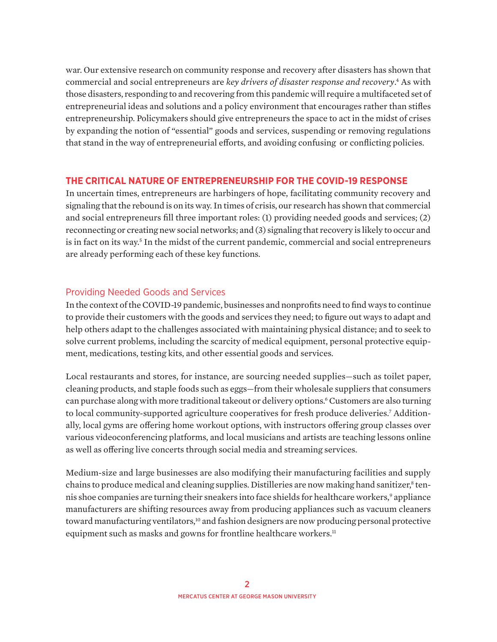war. Our extensive research on community response and recovery after disasters has shown that commercial and social entrepreneurs are *key drivers of disaster response and recovery*.<sup>4</sup> As with those disasters, responding to and recovering from this pandemic will require a multifaceted set of entrepreneurial ideas and solutions and a policy environment that encourages rather than stifles entrepreneurship. Policymakers should give entrepreneurs the space to act in the midst of crises by expanding the notion of "essential" goods and services, suspending or removing regulations that stand in the way of entrepreneurial efforts, and avoiding confusing or conflicting policies.

### **THE CRITICAL NATURE OF ENTREPRENEURSHIP FOR THE COVID-19 RESPONSE**

In uncertain times, entrepreneurs are harbingers of hope, facilitating community recovery and signaling that the rebound is on its way. In times of crisis, our research has shown that commercial and social entrepreneurs fill three important roles: (1) providing needed goods and services; (2) reconnecting or creating new social networks; and (3) signaling that recovery is likely to occur and is in fact on its way.<sup>5</sup> In the midst of the current pandemic, commercial and social entrepreneurs are already performing each of these key functions.

### Providing Needed Goods and Services

In the context of the COVID-19 pandemic, businesses and nonprofits need to find ways to continue to provide their customers with the goods and services they need; to figure out ways to adapt and help others adapt to the challenges associated with maintaining physical distance; and to seek to solve current problems, including the scarcity of medical equipment, personal protective equipment, medications, testing kits, and other essential goods and services.

Local restaurants and stores, for instance, are sourcing needed supplies—such as toilet paper, cleaning products, and staple foods such as eggs—from their wholesale suppliers that consumers can purchase along with more traditional takeout or delivery options.<sup>6</sup> Customers are also turning to local community-supported agriculture cooperatives for fresh produce deliveries.<sup>7</sup> Additionally, local gyms are offering home workout options, with instructors offering group classes over various videoconferencing platforms, and local musicians and artists are teaching lessons online as well as offering live concerts through social media and streaming services.

Medium-size and large businesses are also modifying their manufacturing facilities and supply chains to produce medical and cleaning supplies. Distilleries are now making hand sanitizer,<sup>8</sup> tennis shoe companies are turning their sneakers into face shields for healthcare workers,<sup>9</sup> appliance manufacturers are shifting resources away from producing appliances such as vacuum cleaners toward manufacturing ventilators,<sup>10</sup> and fashion designers are now producing personal protective equipment such as masks and gowns for frontline healthcare workers.<sup>11</sup>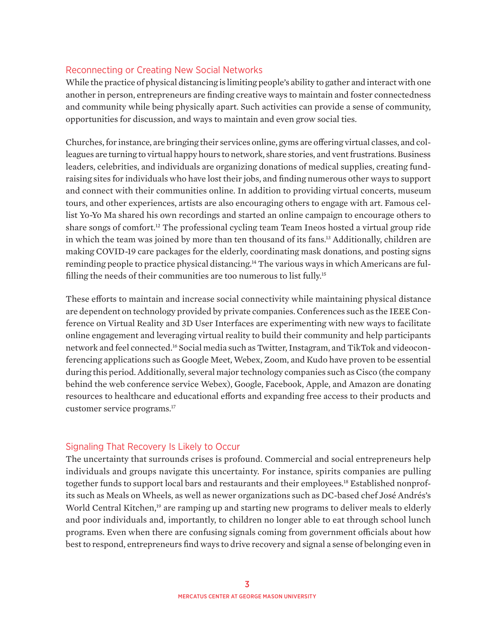#### Reconnecting or Creating New Social Networks

While the practice of physical distancing is limiting people's ability to gather and interact with one another in person, entrepreneurs are finding creative ways to maintain and foster connectedness and community while being physically apart. Such activities can provide a sense of community, opportunities for discussion, and ways to maintain and even grow social ties.

Churches, for instance, are bringing their services online, gyms are offering virtual classes, and colleagues are turning to virtual happy hours to network, share stories, and vent frustrations. Business leaders, celebrities, and individuals are organizing donations of medical supplies, creating fundraising sites for individuals who have lost their jobs, and finding numerous other ways to support and connect with their communities online. In addition to providing virtual concerts, museum tours, and other experiences, artists are also encouraging others to engage with art. Famous cellist Yo-Yo Ma shared his own recordings and started an online campaign to encourage others to share songs of comfort.<sup>12</sup> The professional cycling team Team Ineos hosted a virtual group ride in which the team was joined by more than ten thousand of its fans.<sup>13</sup> Additionally, children are making COVID-19 care packages for the elderly, coordinating mask donations, and posting signs reminding people to practice physical distancing.<sup>14</sup> The various ways in which Americans are fulfilling the needs of their communities are too numerous to list fully.15

These efforts to maintain and increase social connectivity while maintaining physical distance are dependent on technology provided by private companies. Conferences such as the IEEE Conference on Virtual Reality and 3D User Interfaces are experimenting with new ways to facilitate online engagement and leveraging virtual reality to build their community and help participants network and feel connected.16 Social media such as Twitter, Instagram, and TikTok and videoconferencing applications such as Google Meet, Webex, Zoom, and Kudo have proven to be essential during this period. Additionally, several major technology companies such as Cisco (the company behind the web conference service Webex), Google, Facebook, Apple, and Amazon are donating resources to healthcare and educational efforts and expanding free access to their products and customer service programs.17

### Signaling That Recovery Is Likely to Occur

The uncertainty that surrounds crises is profound. Commercial and social entrepreneurs help individuals and groups navigate this uncertainty. For instance, spirits companies are pulling together funds to support local bars and restaurants and their employees.<sup>18</sup> Established nonprofits such as Meals on Wheels, as well as newer organizations such as DC-based chef José Andrés's World Central Kitchen,<sup>19</sup> are ramping up and starting new programs to deliver meals to elderly and poor individuals and, importantly, to children no longer able to eat through school lunch programs. Even when there are confusing signals coming from government officials about how best to respond, entrepreneurs find ways to drive recovery and signal a sense of belonging even in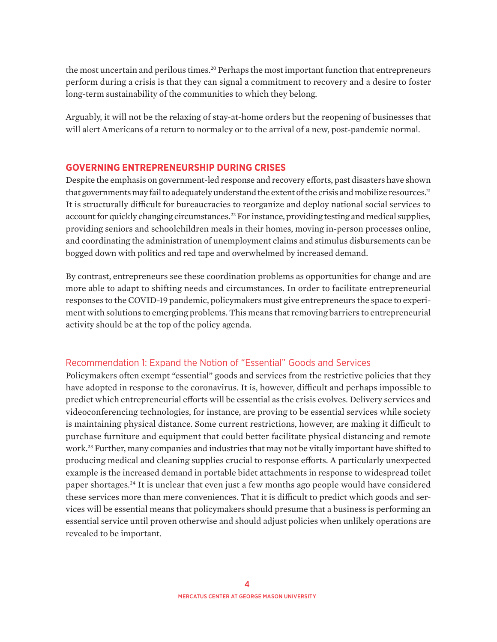the most uncertain and perilous times.<sup>20</sup> Perhaps the most important function that entrepreneurs perform during a crisis is that they can signal a commitment to recovery and a desire to foster long-term sustainability of the communities to which they belong.

Arguably, it will not be the relaxing of stay-at-home orders but the reopening of businesses that will alert Americans of a return to normalcy or to the arrival of a new, post-pandemic normal.

### **GOVERNING ENTREPRENEURSHIP DURING CRISES**

Despite the emphasis on government-led response and recovery efforts, past disasters have shown that governments may fail to adequately understand the extent of the crisis and mobilize resources.<sup>21</sup> It is structurally difficult for bureaucracies to reorganize and deploy national social services to account for quickly changing circumstances.<sup>22</sup> For instance, providing testing and medical supplies, providing seniors and schoolchildren meals in their homes, moving in-person processes online, and coordinating the administration of unemployment claims and stimulus disbursements can be bogged down with politics and red tape and overwhelmed by increased demand.

By contrast, entrepreneurs see these coordination problems as opportunities for change and are more able to adapt to shifting needs and circumstances. In order to facilitate entrepreneurial responses to the COVID-19 pandemic, policymakers must give entrepreneurs the space to experiment with solutions to emerging problems. This means that removing barriers to entrepreneurial activity should be at the top of the policy agenda.

### Recommendation 1: Expand the Notion of "Essential" Goods and Services

Policymakers often exempt "essential" goods and services from the restrictive policies that they have adopted in response to the coronavirus. It is, however, difficult and perhaps impossible to predict which entrepreneurial efforts will be essential as the crisis evolves. Delivery services and videoconferencing technologies, for instance, are proving to be essential services while society is maintaining physical distance. Some current restrictions, however, are making it difficult to purchase furniture and equipment that could better facilitate physical distancing and remote work.23 Further, many companies and industries that may not be vitally important have shifted to producing medical and cleaning supplies crucial to response efforts. A particularly unexpected example is the increased demand in portable bidet attachments in response to widespread toilet paper shortages.24 It is unclear that even just a few months ago people would have considered these services more than mere conveniences. That it is difficult to predict which goods and services will be essential means that policymakers should presume that a business is performing an essential service until proven otherwise and should adjust policies when unlikely operations are revealed to be important.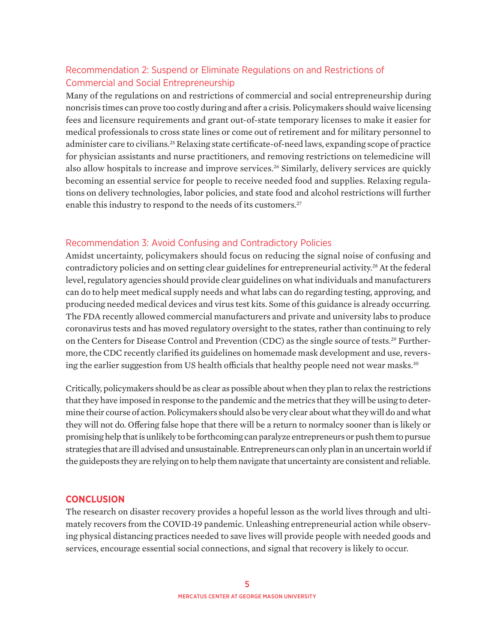## Recommendation 2: Suspend or Eliminate Regulations on and Restrictions of Commercial and Social Entrepreneurship

Many of the regulations on and restrictions of commercial and social entrepreneurship during noncrisis times can prove too costly during and after a crisis. Policymakers should waive licensing fees and licensure requirements and grant out-of-state temporary licenses to make it easier for medical professionals to cross state lines or come out of retirement and for military personnel to administer care to civilians.<sup>25</sup> Relaxing state certificate-of-need laws, expanding scope of practice for physician assistants and nurse practitioners, and removing restrictions on telemedicine will also allow hospitals to increase and improve services.<sup>26</sup> Similarly, delivery services are quickly becoming an essential service for people to receive needed food and supplies. Relaxing regulations on delivery technologies, labor policies, and state food and alcohol restrictions will further enable this industry to respond to the needs of its customers.<sup>27</sup>

## Recommendation 3: Avoid Confusing and Contradictory Policies

Amidst uncertainty, policymakers should focus on reducing the signal noise of confusing and contradictory policies and on setting clear guidelines for entrepreneurial activity.<sup>28</sup> At the federal level, regulatory agencies should provide clear guidelines on what individuals and manufacturers can do to help meet medical supply needs and what labs can do regarding testing, approving, and producing needed medical devices and virus test kits. Some of this guidance is already occurring. The FDA recently allowed commercial manufacturers and private and university labs to produce coronavirus tests and has moved regulatory oversight to the states, rather than continuing to rely on the Centers for Disease Control and Prevention (CDC) as the single source of tests.<sup>29</sup> Furthermore, the CDC recently clarified its guidelines on homemade mask development and use, reversing the earlier suggestion from US health officials that healthy people need not wear masks.<sup>30</sup>

Critically, policymakers should be as clear as possible about when they plan to relax the restrictions that they have imposed in response to the pandemic and the metrics that they will be using to determine their course of action. Policymakers should also be very clear about what they will do and what they will not do. Offering false hope that there will be a return to normalcy sooner than is likely or promising help that is unlikely to be forthcoming can paralyze entrepreneurs or push them to pursue strategies that are ill advised and unsustainable. Entrepreneurs can only plan in an uncertain world if the guideposts they are relying on to help them navigate that uncertainty are consistent and reliable.

### **CONCLUSION**

The research on disaster recovery provides a hopeful lesson as the world lives through and ultimately recovers from the COVID-19 pandemic. Unleashing entrepreneurial action while observing physical distancing practices needed to save lives will provide people with needed goods and services, encourage essential social connections, and signal that recovery is likely to occur.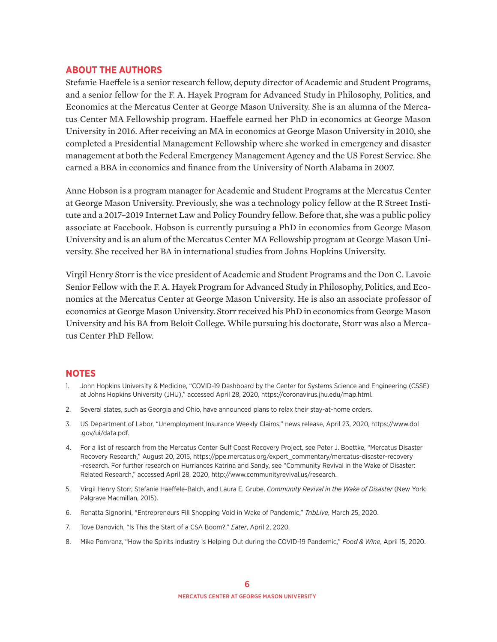#### **ABOUT THE AUTHORS**

Stefanie Haeffele is a senior research fellow, deputy director of Academic and Student Programs, and a senior fellow for the F. A. Hayek Program for Advanced Study in Philosophy, Politics, and Economics at the Mercatus Center at George Mason University. She is an alumna of the Mercatus Center MA Fellowship program. Haeffele earned her PhD in economics at George Mason University in 2016. After receiving an MA in economics at George Mason University in 2010, she completed a Presidential Management Fellowship where she worked in emergency and disaster management at both the Federal Emergency Management Agency and the US Forest Service. She earned a BBA in economics and finance from the University of North Alabama in 2007.

Anne Hobson is a program manager for Academic and Student Programs at the Mercatus Center at George Mason University. Previously, she was a technology policy fellow at the R Street Institute and a 2017–2019 Internet Law and Policy Foundry fellow. Before that, she was a public policy associate at Facebook. Hobson is currently pursuing a PhD in economics from George Mason University and is an alum of the Mercatus Center MA Fellowship program at George Mason University. She received her BA in international studies from Johns Hopkins University.

Virgil Henry Storr is the vice president of Academic and Student Programs and the Don C. Lavoie Senior Fellow with the F. A. Hayek Program for Advanced Study in Philosophy, Politics, and Economics at the Mercatus Center at George Mason University. He is also an associate professor of economics at George Mason University. Storr received his PhD in economics from George Mason University and his BA from Beloit College. While pursuing his doctorate, Storr was also a Mercatus Center PhD Fellow.

#### **NOTES**

- 1. John Hopkins University & Medicine, "COVID-19 Dashboard by the Center for Systems Science and Engineering (CSSE) at Johns Hopkins University (JHU)," accessed April 28, 2020[, https://coronavirus.jhu.edu/map.html.](https://coronavirus.jhu.edu/map.html)
- 2. Several states, such as Georgia and Ohio, have announced plans to relax their stay-at-home orders.
- 3. US Department of Labor, "Unemployment Insurance Weekly Claims," news release, April 23, 2020, [https://www.dol](https://www.dol.gov/ui/data.pdf) [.gov/ui/data.pdf.](https://www.dol.gov/ui/data.pdf)
- 4. For a list of research from the Mercatus Center Gulf Coast Recovery Project, see Peter J. Boettke, "Mercatus Disaster Recovery Research," August 20, 2015[, https://ppe.mercatus.org/expert\\_commentary/mercatus-disaster-recovery](https://ppe.mercatus.org/expert_commentary/mercatus-disaster-recovery-research) [-research.](https://ppe.mercatus.org/expert_commentary/mercatus-disaster-recovery-research) For further research on Hurriances Katrina and Sandy, see "Community Revival in the Wake of Disaster: Related Research," accessed April 28, 2020, [http://www.communityrevival.us/research.](http://www.communityrevival.us/research)
- 5. Virgil Henry Storr, Stefanie Haeffele-Balch, and Laura E. Grube, *Community Revival in the Wake of Disaster* (New York: Palgrave Macmillan, 2015).
- 6. Renatta Signorini, "Entrepreneurs Fill Shopping Void in Wake of Pandemic," *TribLive*, March 25, 2020.
- 7. Tove Danovich, "Is This the Start of a CSA Boom?," *Eater*, April 2, 2020.
- 8. Mike Pomranz, "How the Spirits Industry Is Helping Out during the COVID-19 Pandemic," *Food & Wine*, April 15, 2020.